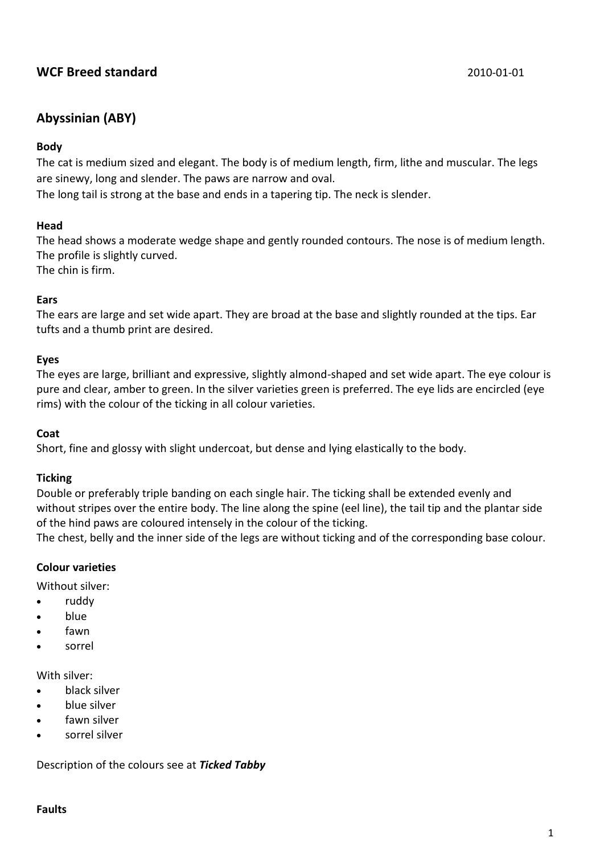# **WCF Breed standard** 2010-01-01

## **Abyssinian (ABY)**

#### **Body**

The cat is medium sized and elegant. The body is of medium length, firm, lithe and muscular. The legs are sinewy, long and slender. The paws are narrow and oval.

The long tail is strong at the base and ends in a tapering tip. The neck is slender.

#### **Head**

The head shows a moderate wedge shape and gently rounded contours. The nose is of medium length. The profile is slightly curved.

The chin is firm.

#### **Ears**

The ears are large and set wide apart. They are broad at the base and slightly rounded at the tips. Ear tufts and a thumb print are desired.

#### **Eyes**

The eyes are large, brilliant and expressive, slightly almond-shaped and set wide apart. The eye colour is pure and clear, amber to green. In the silver varieties green is preferred. The eye lids are encircled (eye rims) with the colour of the ticking in all colour varieties.

#### **Coat**

Short, fine and glossy with slight undercoat, but dense and lying elastically to the body.

#### **Ticking**

Double or preferably triple banding on each single hair. The ticking shall be extended evenly and without stripes over the entire body. The line along the spine (eel line), the tail tip and the plantar side of the hind paws are coloured intensely in the colour of the ticking.

The chest, belly and the inner side of the legs are without ticking and of the corresponding base colour.

## **Colour varieties**

Without silver:

- ruddy
- blue
- fawn
- sorrel

With silver:

- black silver
- blue silver
- fawn silver
- sorrel silver

Description of the colours see at *Ticked Tabby*

#### **Faults**